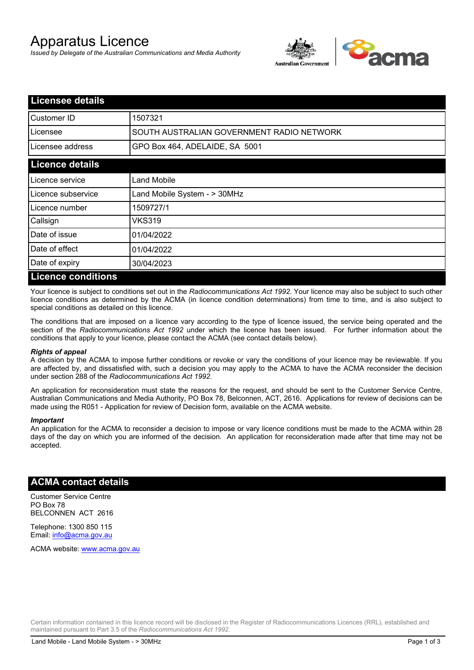# Apparatus Licence

*Issued by Delegate of the Australian Communications and Media Authority*



| <b>Licensee details</b>   |                                           |  |
|---------------------------|-------------------------------------------|--|
| Customer ID               | 1507321                                   |  |
| Licensee                  | SOUTH AUSTRALIAN GOVERNMENT RADIO NETWORK |  |
| Licensee address          | GPO Box 464, ADELAIDE, SA 5001            |  |
| <b>Licence details</b>    |                                           |  |
| Licence service           | Land Mobile                               |  |
| Licence subservice        | Land Mobile System - > 30MHz              |  |
| Licence number            | 1509727/1                                 |  |
| Callsign                  | VKS319                                    |  |
| Date of issue             | 01/04/2022                                |  |
| Date of effect            | 01/04/2022                                |  |
| Date of expiry            | 30/04/2023                                |  |
| <b>Licence conditions</b> |                                           |  |

Your licence is subject to conditions set out in the *Radiocommunications Act 1992*. Your licence may also be subject to such other licence conditions as determined by the ACMA (in licence condition determinations) from time to time, and is also subject to special conditions as detailed on this licence.

The conditions that are imposed on a licence vary according to the type of licence issued, the service being operated and the section of the *Radiocommunications Act 1992* under which the licence has been issued. For further information about the conditions that apply to your licence, please contact the ACMA (see contact details below).

#### *Rights of appeal*

A decision by the ACMA to impose further conditions or revoke or vary the conditions of your licence may be reviewable. If you are affected by, and dissatisfied with, such a decision you may apply to the ACMA to have the ACMA reconsider the decision under section 288 of the *Radiocommunications Act 1992*.

An application for reconsideration must state the reasons for the request, and should be sent to the Customer Service Centre, Australian Communications and Media Authority, PO Box 78, Belconnen, ACT, 2616. Applications for review of decisions can be made using the R051 - Application for review of Decision form, available on the ACMA website.

#### *Important*

An application for the ACMA to reconsider a decision to impose or vary licence conditions must be made to the ACMA within 28 days of the day on which you are informed of the decision. An application for reconsideration made after that time may not be accepted.

### **ACMA contact details**

Customer Service Centre PO Box 78 BELCONNEN ACT 2616

Telephone: 1300 850 115 Email: info@acma.gov.au

ACMA website: www.acma.gov.au

Certain information contained in this licence record will be disclosed in the Register of Radiocommunications Licences (RRL), established and maintained pursuant to Part 3.5 of the *Radiocommunications Act 1992.*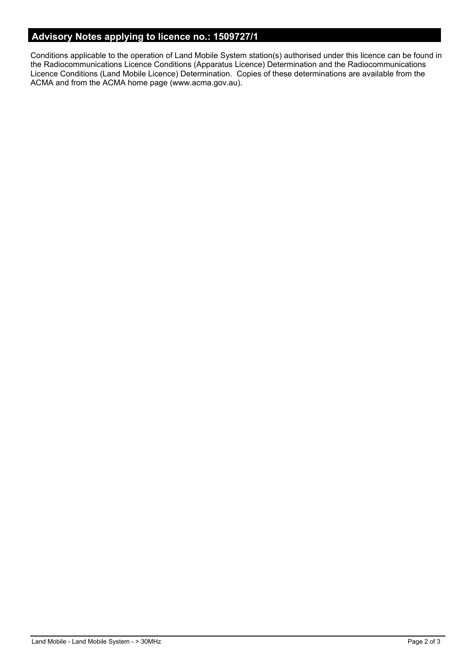## **Advisory Notes applying to licence no.: 1509727/1**

Conditions applicable to the operation of Land Mobile System station(s) authorised under this licence can be found in the Radiocommunications Licence Conditions (Apparatus Licence) Determination and the Radiocommunications Licence Conditions (Land Mobile Licence) Determination. Copies of these determinations are available from the ACMA and from the ACMA home page (www.acma.gov.au).